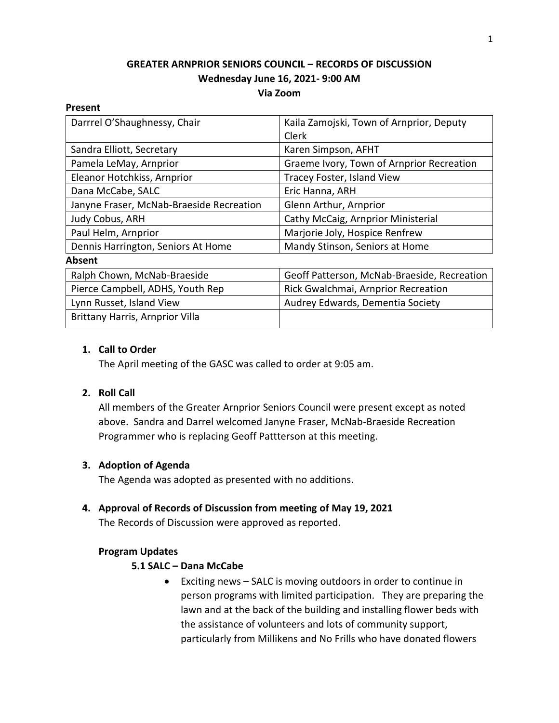## **GREATER ARNPRIOR SENIORS COUNCIL – RECORDS OF DISCUSSION Wednesday June 16, 2021- 9:00 AM Via Zoom**

#### **Present**

| Darrrel O'Shaughnessy, Chair             | Kaila Zamojski, Town of Arnprior, Deputy    |
|------------------------------------------|---------------------------------------------|
|                                          | Clerk                                       |
| Sandra Elliott, Secretary                | Karen Simpson, AFHT                         |
| Pamela LeMay, Arnprior                   | Graeme Ivory, Town of Arnprior Recreation   |
| Eleanor Hotchkiss, Arnprior              | Tracey Foster, Island View                  |
| Dana McCabe, SALC                        | Eric Hanna, ARH                             |
| Janyne Fraser, McNab-Braeside Recreation | Glenn Arthur, Arnprior                      |
| Judy Cobus, ARH                          | Cathy McCaig, Arnprior Ministerial          |
| Paul Helm, Arnprior                      | Marjorie Joly, Hospice Renfrew              |
| Dennis Harrington, Seniors At Home       | Mandy Stinson, Seniors at Home              |
| Absent                                   |                                             |
| Ralph Chown, McNab-Braeside              | Geoff Patterson, McNab-Braeside, Recreation |
|                                          |                                             |

| Pierce Campbell, ADHS, Youth Rep | Rick Gwalchmai, Arnprior Recreation |
|----------------------------------|-------------------------------------|
| Lynn Russet, Island View         | Audrey Edwards, Dementia Society    |
| Brittany Harris, Arnprior Villa  |                                     |

#### **1. Call to Order**

The April meeting of the GASC was called to order at 9:05 am.

#### **2. Roll Call**

All members of the Greater Arnprior Seniors Council were present except as noted above. Sandra and Darrel welcomed Janyne Fraser, McNab-Braeside Recreation Programmer who is replacing Geoff Pattterson at this meeting.

#### **3. Adoption of Agenda**

The Agenda was adopted as presented with no additions.

#### **4. Approval of Records of Discussion from meeting of May 19, 2021**

The Records of Discussion were approved as reported.

#### **Program Updates**

#### **5.1 SALC – Dana McCabe**

• Exciting news – SALC is moving outdoors in order to continue in person programs with limited participation. They are preparing the lawn and at the back of the building and installing flower beds with the assistance of volunteers and lots of community support, particularly from Millikens and No Frills who have donated flowers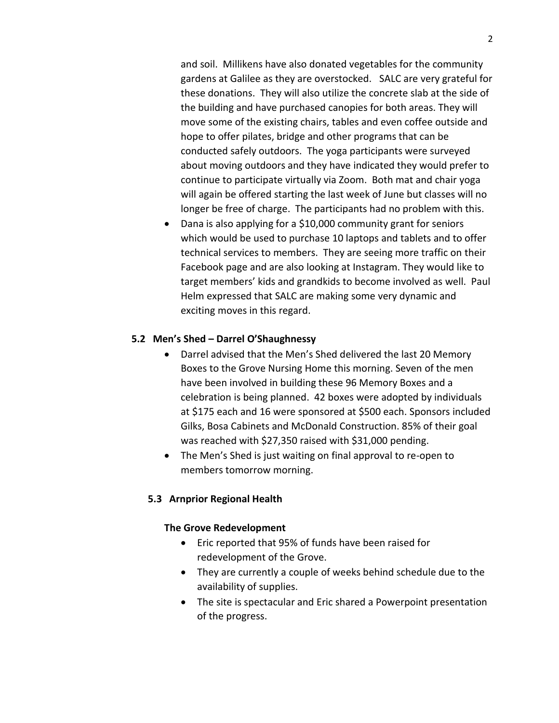and soil. Millikens have also donated vegetables for the community gardens at Galilee as they are overstocked. SALC are very grateful for these donations. They will also utilize the concrete slab at the side of the building and have purchased canopies for both areas. They will move some of the existing chairs, tables and even coffee outside and hope to offer pilates, bridge and other programs that can be conducted safely outdoors. The yoga participants were surveyed about moving outdoors and they have indicated they would prefer to continue to participate virtually via Zoom. Both mat and chair yoga will again be offered starting the last week of June but classes will no longer be free of charge. The participants had no problem with this.

• Dana is also applying for a \$10,000 community grant for seniors which would be used to purchase 10 laptops and tablets and to offer technical services to members. They are seeing more traffic on their Facebook page and are also looking at Instagram. They would like to target members' kids and grandkids to become involved as well. Paul Helm expressed that SALC are making some very dynamic and exciting moves in this regard.

#### **5.2 Men's Shed – Darrel O'Shaughnessy**

- Darrel advised that the Men's Shed delivered the last 20 Memory Boxes to the Grove Nursing Home this morning. Seven of the men have been involved in building these 96 Memory Boxes and a celebration is being planned. 42 boxes were adopted by individuals at \$175 each and 16 were sponsored at \$500 each. Sponsors included Gilks, Bosa Cabinets and McDonald Construction. 85% of their goal was reached with \$27,350 raised with \$31,000 pending.
- The Men's Shed is just waiting on final approval to re-open to members tomorrow morning.

## **5.3 Arnprior Regional Health**

#### **The Grove Redevelopment**

- Eric reported that 95% of funds have been raised for redevelopment of the Grove.
- They are currently a couple of weeks behind schedule due to the availability of supplies.
- The site is spectacular and Eric shared a Powerpoint presentation of the progress.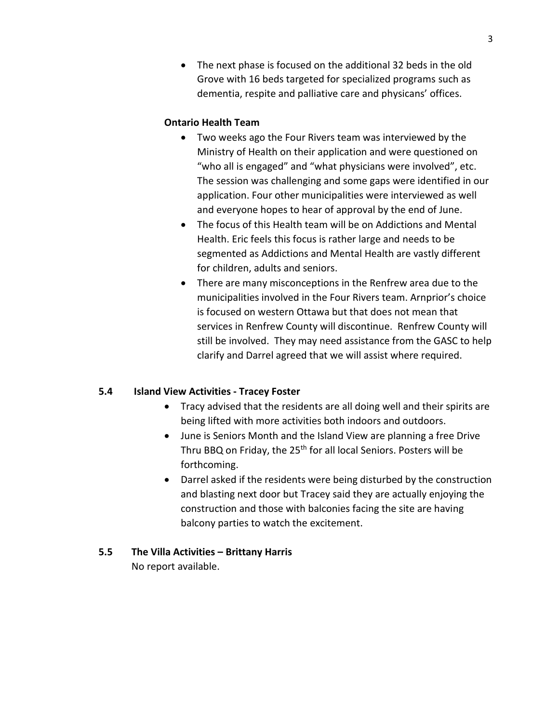• The next phase is focused on the additional 32 beds in the old Grove with 16 beds targeted for specialized programs such as dementia, respite and palliative care and physicans' offices.

#### **Ontario Health Team**

- Two weeks ago the Four Rivers team was interviewed by the Ministry of Health on their application and were questioned on "who all is engaged" and "what physicians were involved", etc. The session was challenging and some gaps were identified in our application. Four other municipalities were interviewed as well and everyone hopes to hear of approval by the end of June.
- The focus of this Health team will be on Addictions and Mental Health. Eric feels this focus is rather large and needs to be segmented as Addictions and Mental Health are vastly different for children, adults and seniors.
- There are many misconceptions in the Renfrew area due to the municipalities involved in the Four Rivers team. Arnprior's choice is focused on western Ottawa but that does not mean that services in Renfrew County will discontinue. Renfrew County will still be involved. They may need assistance from the GASC to help clarify and Darrel agreed that we will assist where required.

## **5.4 Island View Activities - Tracey Foster**

- Tracy advised that the residents are all doing well and their spirits are being lifted with more activities both indoors and outdoors.
- June is Seniors Month and the Island View are planning a free Drive Thru BBQ on Friday, the 25<sup>th</sup> for all local Seniors. Posters will be forthcoming.
- Darrel asked if the residents were being disturbed by the construction and blasting next door but Tracey said they are actually enjoying the construction and those with balconies facing the site are having balcony parties to watch the excitement.

## **5.5 The Villa Activities – Brittany Harris**

No report available.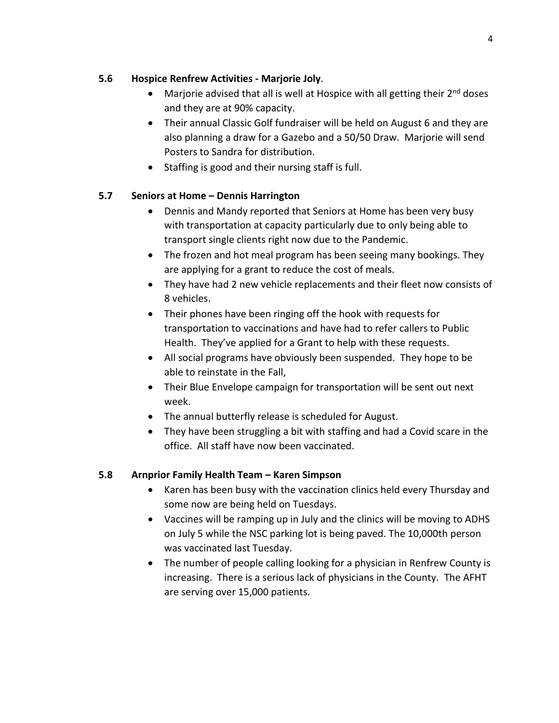#### **5.6 Hospice Renfrew Activities - Marjorie Joly**.

- Marjorie advised that all is well at Hospice with all getting their  $2<sup>nd</sup>$  doses and they are at 90% capacity.
- Their annual Classic Golf fundraiser will be held on August 6 and they are also planning a draw for a Gazebo and a 50/50 Draw. Marjorie will send Posters to Sandra for distribution.
- Staffing is good and their nursing staff is full.

## **5.7 Seniors at Home – Dennis Harrington**

- Dennis and Mandy reported that Seniors at Home has been very busy with transportation at capacity particularly due to only being able to transport single clients right now due to the Pandemic.
- The frozen and hot meal program has been seeing many bookings. They are applying for a grant to reduce the cost of meals.
- They have had 2 new vehicle replacements and their fleet now consists of 8 vehicles.
- Their phones have been ringing off the hook with requests for transportation to vaccinations and have had to refer callers to Public Health. They've applied for a Grant to help with these requests.
- All social programs have obviously been suspended. They hope to be able to reinstate in the Fall,
- Their Blue Envelope campaign for transportation will be sent out next week.
- The annual butterfly release is scheduled for August.
- They have been struggling a bit with staffing and had a Covid scare in the office. All staff have now been vaccinated.

## **5.8 Arnprior Family Health Team – Karen Simpson**

- Karen has been busy with the vaccination clinics held every Thursday and some now are being held on Tuesdays.
- Vaccines will be ramping up in July and the clinics will be moving to ADHS on July 5 while the NSC parking lot is being paved. The 10,000th person was vaccinated last Tuesday.
- The number of people calling looking for a physician in Renfrew County is increasing. There is a serious lack of physicians in the County. The AFHT are serving over 15,000 patients.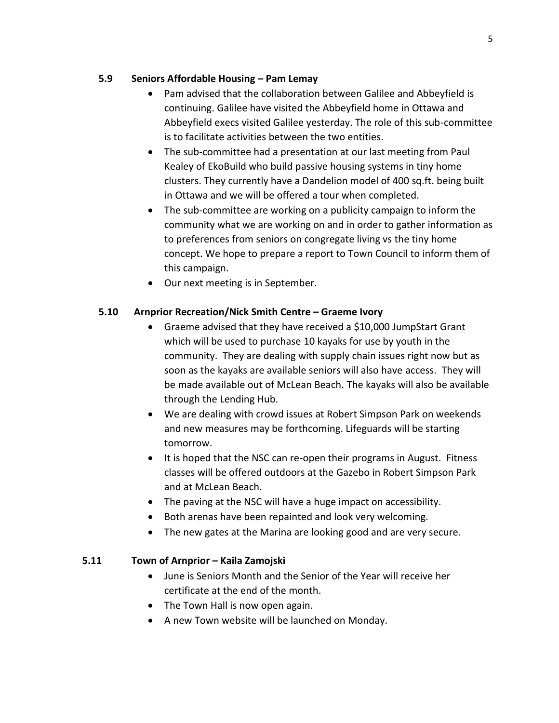#### **5.9 Seniors Affordable Housing – Pam Lemay**

- Pam advised that the collaboration between Galilee and Abbeyfield is continuing. Galilee have visited the Abbeyfield home in Ottawa and Abbeyfield execs visited Galilee yesterday. The role of this sub-committee is to facilitate activities between the two entities.
- The sub-committee had a presentation at our last meeting from Paul Kealey of EkoBuild who build passive housing systems in tiny home clusters. They currently have a Dandelion model of 400 sq.ft. being built in Ottawa and we will be offered a tour when completed.
- The sub-committee are working on a publicity campaign to inform the community what we are working on and in order to gather information as to preferences from seniors on congregate living vs the tiny home concept. We hope to prepare a report to Town Council to inform them of this campaign.
- Our next meeting is in September.

## **5.10 Arnprior Recreation/Nick Smith Centre – Graeme Ivory**

- Graeme advised that they have received a \$10,000 JumpStart Grant which will be used to purchase 10 kayaks for use by youth in the community. They are dealing with supply chain issues right now but as soon as the kayaks are available seniors will also have access. They will be made available out of McLean Beach. The kayaks will also be available through the Lending Hub.
- We are dealing with crowd issues at Robert Simpson Park on weekends and new measures may be forthcoming. Lifeguards will be starting tomorrow.
- It is hoped that the NSC can re-open their programs in August. Fitness classes will be offered outdoors at the Gazebo in Robert Simpson Park and at McLean Beach.
- The paving at the NSC will have a huge impact on accessibility.
- Both arenas have been repainted and look very welcoming.
- The new gates at the Marina are looking good and are very secure.

## **5.11 Town of Arnprior – Kaila Zamojski**

- June is Seniors Month and the Senior of the Year will receive her certificate at the end of the month.
- The Town Hall is now open again.
- A new Town website will be launched on Monday.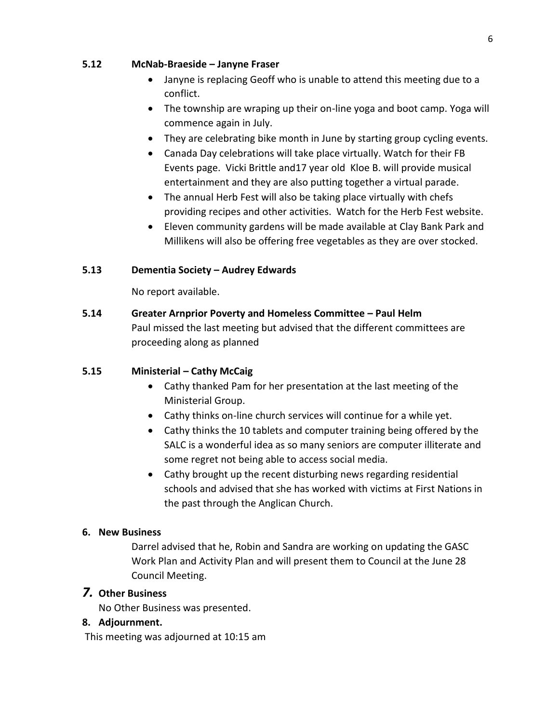#### **5.12 McNab-Braeside – Janyne Fraser**

- Janyne is replacing Geoff who is unable to attend this meeting due to a conflict.
- The township are wraping up their on-line yoga and boot camp. Yoga will commence again in July.
- They are celebrating bike month in June by starting group cycling events.
- Canada Day celebrations will take place virtually. Watch for their FB Events page. Vicki Brittle and17 year old Kloe B. will provide musical entertainment and they are also putting together a virtual parade.
- The annual Herb Fest will also be taking place virtually with chefs providing recipes and other activities. Watch for the Herb Fest website.
- Eleven community gardens will be made available at Clay Bank Park and Millikens will also be offering free vegetables as they are over stocked.

## **5.13 Dementia Society – Audrey Edwards**

No report available.

**5.14 Greater Arnprior Poverty and Homeless Committee – Paul Helm**

Paul missed the last meeting but advised that the different committees are proceeding along as planned

## **5.15 Ministerial – Cathy McCaig**

- Cathy thanked Pam for her presentation at the last meeting of the Ministerial Group.
- Cathy thinks on-line church services will continue for a while yet.
- Cathy thinks the 10 tablets and computer training being offered by the SALC is a wonderful idea as so many seniors are computer illiterate and some regret not being able to access social media.
- Cathy brought up the recent disturbing news regarding residential schools and advised that she has worked with victims at First Nations in the past through the Anglican Church.

## **6. New Business**

Darrel advised that he, Robin and Sandra are working on updating the GASC Work Plan and Activity Plan and will present them to Council at the June 28 Council Meeting.

## *7.* **Other Business**

No Other Business was presented.

## **8. Adjournment.**

This meeting was adjourned at 10:15 am